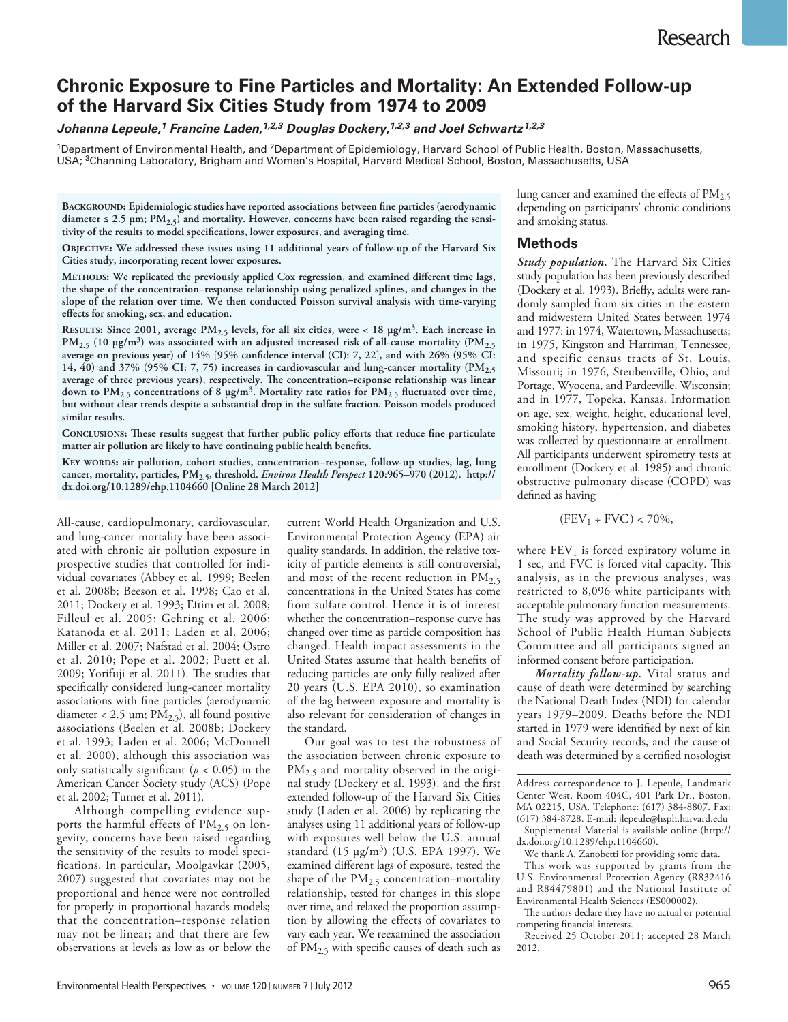# **Chronic Exposure to Fine Particles and Mortality: An Extended Follow-up of the Harvard Six Cities Study from 1974 to 2009**

## *Johanna Lepeule,1 Francine Laden,1,2,3 Douglas Dockery,1,2,3 and Joel Schwartz1,2,3*

<sup>1</sup>Department of Environmental Health, and <sup>2</sup>Department of Epidemiology, Harvard School of Public Health, Boston, Massachusetts, USA; 3Channing Laboratory, Brigham and Women's Hospital, Harvard Medical School, Boston, Massachusetts, USA

**Background: Epidemiologic studies have reported associations between fine particles (aerodynamic**  diameter  $\leq$  2.5  $\mu$ m; PM<sub>2.5</sub>) and mortality. However, concerns have been raised regarding the sensi**tivity of the results to model specifications, lower exposures, and averaging time.**

**Objective: We addressed these issues using 11 additional years of follow-up of the Harvard Six Cities study, incorporating recent lower exposures.**

**Methods: We replicated the previously applied Cox regression, and examined different time lags, the shape of the concentration–response relationship using penalized splines, and changes in the slope of the relation over time. We then conducted Poisson survival analysis with time-varying effects for smoking, sex, and education.**

**RESULTS:** Since 2001, average  $PM_{2.5}$  levels, for all six cities, were < 18  $\mu$ g/m<sup>3</sup>. Each increase in **PM2.5 (10 µg/m3) was associated with an adjusted increased risk of all-cause mortality (PM2.5 average on previous year) of 14% [95% confidence interval (CI): 7, 22], and with 26% (95% CI: 14, 40) and 37% (95% CI: 7, 75) increases in cardiovascular and lung-cancer mortality (PM2.5 average of three previous years), respectively. The concentration–response relationship was linear down to PM2.5 concentrations of 8 µg/m3. Mortality rate ratios for PM2.5 fluctuated over time, but without clear trends despite a substantial drop in the sulfate fraction. Poisson models produced similar results.**

**Conclusions: These results suggest that further public policy efforts that reduce fine particulate matter air pollution are likely to have continuing public health benefits.**

**Key words: air pollution, cohort studies, concentration–response, follow-up studies, lag, lung cancer, mortality, particles, PM2.5, threshold.** *Environ Health Perspect* **120:965–970 (2012). http:// dx.doi.org/10.1289/ehp.1104660 [Online 28 March 2012]**

All-cause, cardiopulmonary, cardiovascular, and lung-cancer mortality have been associated with chronic air pollution exposure in prospective studies that controlled for individual covariates (Abbey et al. 1999; Beelen et al. 2008b; Beeson et al. 1998; Cao et al. 2011; Dockery et al. 1993; Eftim et al. 2008; Filleul et al. 2005; Gehring et al. 2006; Katanoda et al. 2011; Laden et al. 2006; Miller et al. 2007; Nafstad et al. 2004; Ostro et al. 2010; Pope et al. 2002; Puett et al. 2009; Yorifuji et al. 2011). The studies that specifically considered lung-cancer mortality associations with fine particles (aerodynamic diameter < 2.5  $\mu$ m; PM<sub>2.5</sub>), all found positive associations (Beelen et al. 2008b; Dockery et al. 1993; Laden et al. 2006; McDonnell et al. 2000), although this association was only statistically significant ( $p < 0.05$ ) in the American Cancer Society study (ACS) (Pope et al. 2002; Turner et al. 2011).

Although compelling evidence supports the harmful effects of  $PM_{2.5}$  on longevity, concerns have been raised regarding the sensitivity of the results to model specifications. In particular, Moolgavkar (2005, 2007) suggested that covariates may not be proportional and hence were not controlled for properly in proportional hazards models; that the concentration–response relation may not be linear; and that there are few observations at levels as low as or below the

current World Health Organization and U.S. Environmental Protection Agency (EPA) air quality standards. In addition, the relative toxicity of particle elements is still controversial, and most of the recent reduction in  $PM_{2.5}$ concentrations in the United States has come from sulfate control. Hence it is of interest whether the concentration–response curve has changed over time as particle composition has changed. Health impact assessments in the United States assume that health benefits of reducing particles are only fully realized after 20 years (U.S. EPA 2010), so examination of the lag between exposure and mortality is also relevant for consideration of changes in the standard.

Our goal was to test the robustness of the association between chronic exposure to PM<sub>2.5</sub> and mortality observed in the original study (Dockery et al. 1993), and the first extended follow-up of the Harvard Six Cities study (Laden et al. 2006) by replicating the analyses using 11 additional years of follow-up with exposures well below the U.S. annual standard (15 µg/m3) (U.S. EPA 1997). We examined different lags of exposure, tested the shape of the  $PM_{2.5}$  concentration–mortality relationship, tested for changes in this slope over time, and relaxed the proportion assumption by allowing the effects of covariates to vary each year. We reexamined the association of PM2.5 with specific causes of death such as lung cancer and examined the effects of  $PM<sub>2.5</sub>$ depending on participants' chronic conditions and smoking status.

## **Methods**

*Study population.* The Harvard Six Cities study population has been previously described (Dockery et al. 1993). Briefly, adults were randomly sampled from six cities in the eastern and midwestern United States between 1974 and 1977: in 1974, Watertown, Massachusetts; in 1975, Kingston and Harriman, Tennessee, and specific census tracts of St. Louis, Missouri; in 1976, Steubenville, Ohio, and Portage, Wyocena, and Pardeeville, Wisconsin; and in 1977, Topeka, Kansas. Information on age, sex, weight, height, educational level, smoking history, hypertension, and diabetes was collected by questionnaire at enrollment. All participants underwent spirometry tests at enrollment (Dockery et al. 1985) and chronic obstructive pulmonary disease (COPD) was defined as having

$$
(\mathrm{FEV}_1 \div \mathrm{FVC}) < 70\%,
$$

where  $FEV<sub>1</sub>$  is forced expiratory volume in 1 sec, and FVC is forced vital capacity. This analysis, as in the previous analyses, was restricted to 8,096 white participants with acceptable pulmonary function measurements. The study was approved by the Harvard School of Public Health Human Subjects Committee and all participants signed an informed consent before participation.

*Mortality follow-up.* Vital status and cause of death were determined by searching the National Death Index (NDI) for calendar years 1979–2009. Deaths before the NDI started in 1979 were identified by next of kin and Social Security records, and the cause of death was determined by a certified nosologist

Address correspondence to J. Lepeule, Landmark Center West, Room 404C, 401 Park Dr., Boston, MA 02215, USA. Telephone: (617) 384-8807. Fax: (617) 384-8728. E-mail: jlepeule@hsph.harvard.edu Supplemental Material is available online (http:// dx.doi.org/10.1289/ehp.1104660).

We thank A. Zanobetti for providing some data.

This work was supported by grants from the U.S. Environmental Protection Agency (R832416 and R84479801) and the National Institute of Environmental Health Sciences (ES000002).

The authors declare they have no actual or potential competing financial interests.

Received 25 October 2011; accepted 28 March 2012.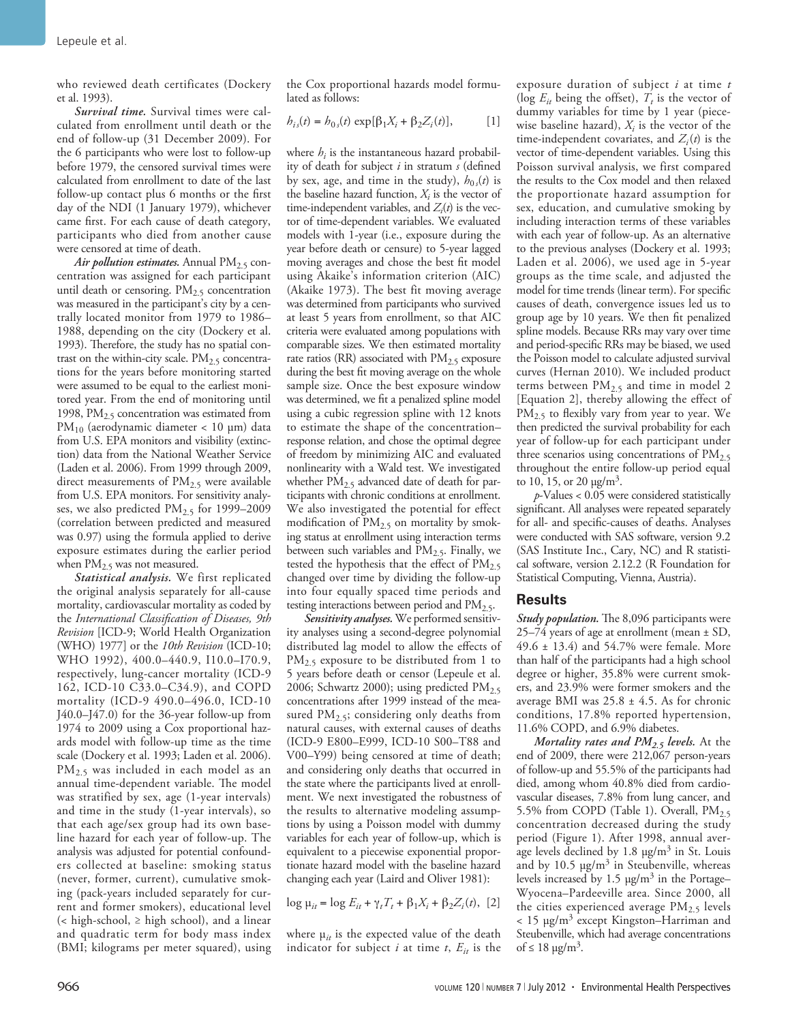who reviewed death certificates (Dockery et al. 1993).

*Survival time.* Survival times were calculated from enrollment until death or the end of follow-up (31 December 2009). For the 6 participants who were lost to follow-up before 1979, the censored survival times were calculated from enrollment to date of the last follow-up contact plus 6 months or the first day of the NDI (1 January 1979), whichever came first. For each cause of death category, participants who died from another cause were censored at time of death.

*Air pollution estimates.* Annual PM<sub>2.5</sub> concentration was assigned for each participant until death or censoring.  $PM_{2.5}$  concentration was measured in the participant's city by a centrally located monitor from 1979 to 1986– 1988, depending on the city (Dockery et al. 1993). Therefore, the study has no spatial contrast on the within-city scale.  $PM<sub>2.5</sub>$  concentrations for the years before monitoring started were assumed to be equal to the earliest monitored year. From the end of monitoring until 1998,  $PM_{2.5}$  concentration was estimated from PM<sub>10</sub> (aerodynamic diameter < 10 µm) data from U.S. EPA monitors and visibility (extinction) data from the National Weather Service (Laden et al. 2006). From 1999 through 2009, direct measurements of  $PM<sub>2.5</sub>$  were available from U.S. EPA monitors. For sensitivity analyses, we also predicted  $PM_{2.5}$  for 1999–2009 (correlation between predicted and measured was 0.97) using the formula applied to derive exposure estimates during the earlier period when  $PM<sub>2.5</sub>$  was not measured.

*Statistical analysis.* We first replicated the original analysis separately for all-cause mortality, cardiovascular mortality as coded by the *International Classification of Diseases, 9th Revision* [ICD-9; World Health Organization (WHO) 1977] or the *10th Revision* (ICD-10; WHO 1992), 400.0–440.9, I10.0–I70.9, respectively, lung-cancer mortality (ICD-9 162, ICD-10 C33.0–C34.9), and COPD mortality (ICD-9 490.0–496.0, ICD-10 J40.0–J47.0) for the 36-year follow-up from 1974 to 2009 using a Cox proportional hazards model with follow-up time as the time scale (Dockery et al. 1993; Laden et al. 2006). PM<sub>2.5</sub> was included in each model as an annual time-dependent variable. The model was stratified by sex, age (1-year intervals) and time in the study (1-year intervals), so that each age/sex group had its own baseline hazard for each year of follow-up. The analysis was adjusted for potential confounders collected at baseline: smoking status (never, former, current), cumulative smoking (pack-years included separately for current and former smokers), educational level (< high-school, ≥ high school), and a linear and quadratic term for body mass index (BMI; kilograms per meter squared), using the Cox proportional hazards model formulated as follows:

$$
b_{is}(t) = b_{0s}(t) \exp[\beta_1 X_i + \beta_2 Z_i(t)], \qquad [1]
$$

where  $h_i$  is the instantaneous hazard probability of death for subject *i* in stratum *s* (defined by sex, age, and time in the study),  $h_{0s}(t)$  is the baseline hazard function,  $X_i$  is the vector of time-independent variables, and  $Z_i(t)$  is the vector of time-dependent variables. We evaluated models with 1-year (i.e., exposure during the year before death or censure) to 5-year lagged moving averages and chose the best fit model using Akaike's information criterion (AIC) (Akaike 1973). The best fit moving average was determined from participants who survived at least 5 years from enrollment, so that AIC criteria were evaluated among populations with comparable sizes. We then estimated mortality rate ratios (RR) associated with  $PM_{2.5}$  exposure during the best fit moving average on the whole sample size. Once the best exposure window was determined, we fit a penalized spline model using a cubic regression spline with 12 knots to estimate the shape of the concentration– response relation, and chose the optimal degree of freedom by minimizing AIC and evaluated nonlinearity with a Wald test. We investigated whether  $PM_{2.5}$  advanced date of death for participants with chronic conditions at enrollment. We also investigated the potential for effect modification of  $PM_{2.5}$  on mortality by smoking status at enrollment using interaction terms between such variables and  $PM_{2.5}$ . Finally, we tested the hypothesis that the effect of  $PM_{2.5}$ changed over time by dividing the follow-up into four equally spaced time periods and testing interactions between period and  $PM_{2.5}$ .

*Sensitivity analyses.* We performed sensitivity analyses using a second-degree polynomial distributed lag model to allow the effects of PM<sub>2.5</sub> exposure to be distributed from 1 to 5 years before death or censor (Lepeule et al. 2006; Schwartz 2000); using predicted  $PM_{2.5}$ concentrations after 1999 instead of the measured  $PM_{2.5}$ ; considering only deaths from natural causes, with external causes of deaths (ICD-9 E800–E999, ICD-10 S00–T88 and V00–Y99) being censored at time of death; and considering only deaths that occurred in the state where the participants lived at enrollment. We next investigated the robustness of the results to alternative modeling assumptions by using a Poisson model with dummy variables for each year of follow-up, which is equivalent to a piecewise exponential proportionate hazard model with the baseline hazard changing each year (Laird and Oliver 1981):

$$
\log \mu_{it} = \log E_{it} + \gamma_t T_t + \beta_1 X_i + \beta_2 Z_i(t), \quad [2]
$$

where  $\mu_{it}$  is the expected value of the death indicator for subject  $i$  at time  $t$ ,  $E_{it}$  is the

exposure duration of subject *i* at time *t*  (log  $E_{it}$  being the offset),  $T_t$  is the vector of dummy variables for time by 1 year (piecewise baseline hazard),  $X_i$  is the vector of the time-independent covariates, and  $Z_i(t)$  is the vector of time-dependent variables. Using this Poisson survival analysis, we first compared the results to the Cox model and then relaxed the proportionate hazard assumption for sex, education, and cumulative smoking by including interaction terms of these variables with each year of follow-up. As an alternative to the previous analyses (Dockery et al. 1993; Laden et al. 2006), we used age in 5-year groups as the time scale, and adjusted the model for time trends (linear term). For specific causes of death, convergence issues led us to group age by 10 years. We then fit penalized spline models. Because RRs may vary over time and period-specific RRs may be biased, we used the Poisson model to calculate adjusted survival curves (Hernan 2010). We included product terms between  $PM_{2.5}$  and time in model 2 [Equation 2], thereby allowing the effect of PM<sub>2.5</sub> to flexibly vary from year to year. We then predicted the survival probability for each year of follow-up for each participant under three scenarios using concentrations of  $PM_{2.5}$ throughout the entire follow-up period equal to 10, 15, or 20  $\mu$ g/m<sup>3</sup>.

*p*-Values < 0.05 were considered statistically significant. All analyses were repeated separately for all- and specific-causes of deaths. Analyses were conducted with SAS software, version 9.2 (SAS Institute Inc., Cary, NC) and R statistical software, version 2.12.2 (R Foundation for Statistical Computing, Vienna, Austria).

#### **Results**

*Study population.* The 8,096 participants were 25–74 years of age at enrollment (mean ± SD, 49.6 ± 13.4) and 54.7% were female. More than half of the participants had a high school degree or higher, 35.8% were current smokers, and 23.9% were former smokers and the average BMI was  $25.8 \pm 4.5$ . As for chronic conditions, 17.8% reported hypertension, 11.6% COPD, and 6.9% diabetes.

*Mortality rates and PM2.5 levels.* At the end of 2009, there were 212,067 person-years of follow-up and 55.5% of the participants had died, among whom 40.8% died from cardiovascular diseases, 7.8% from lung cancer, and 5.5% from COPD (Table 1). Overall,  $PM_{2.5}$ concentration decreased during the study period (Figure 1). After 1998, annual average levels declined by  $1.8 \text{ µg/m}^3$  in St. Louis and by 10.5  $\mu$ g/m<sup>3</sup> in Steubenville, whereas levels increased by  $1.5 \text{ µg/m}^3$  in the Portage– Wyocena–Pardeeville area. Since 2000, all the cities experienced average  $PM_{2.5}$  levels < 15 µg/m3 except Kingston–Harriman and Steubenville, which had average concentrations of  $\leq 18 \mu g/m^3$ .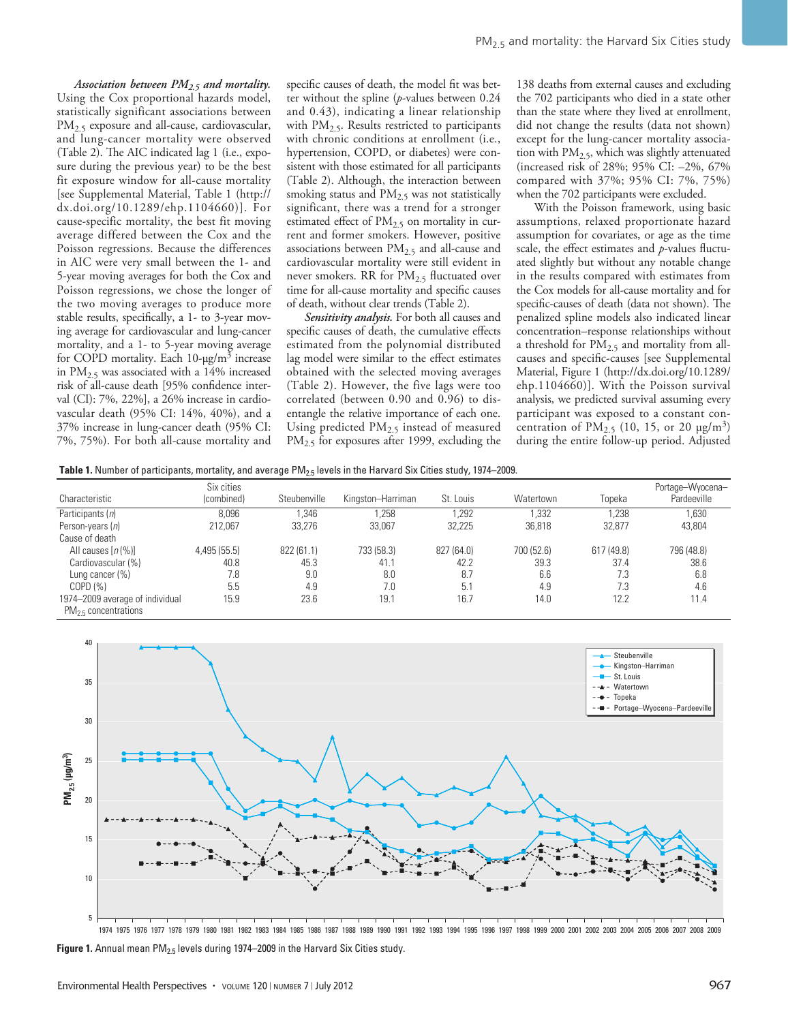*Association between PM2.5 and mortality.*  Using the Cox proportional hazards model, statistically significant associations between PM<sub>2.5</sub> exposure and all-cause, cardiovascular, and lung-cancer mortality were observed (Table 2). The AIC indicated lag 1 (i.e., exposure during the previous year) to be the best fit exposure window for all-cause mortality [see Supplemental Material, Table 1 (http:// dx.doi.org/10.1289/ehp.1104660)]. For cause-specific mortality, the best fit moving average differed between the Cox and the Poisson regressions. Because the differences in AIC were very small between the 1- and 5-year moving averages for both the Cox and Poisson regressions, we chose the longer of the two moving averages to produce more stable results, specifically, a 1- to 3-year moving average for cardiovascular and lung-cancer mortality, and a 1- to 5-year moving average for COPD mortality. Each  $10$ - $\mu$ g/m<sup>3</sup> increase in  $PM_{2.5}$  was associated with a  $14\%$  increased risk of all-cause death [95% confidence interval (CI): 7%, 22%], a 26% increase in cardiovascular death (95% CI: 14%, 40%), and a 37% increase in lung-cancer death (95% CI: 7%, 75%). For both all-cause mortality and specific causes of death, the model fit was better without the spline (*p*-values between 0.24 and 0.43), indicating a linear relationship with  $PM<sub>2.5</sub>$ . Results restricted to participants with chronic conditions at enrollment (i.e., hypertension, COPD, or diabetes) were consistent with those estimated for all participants (Table 2). Although, the interaction between smoking status and  $PM<sub>2.5</sub>$  was not statistically significant, there was a trend for a stronger estimated effect of PM<sub>2.5</sub> on mortality in current and former smokers. However, positive associations between  $PM_{2.5}$  and all-cause and cardiovascular mortality were still evident in never smokers. RR for  $PM_{2.5}$  fluctuated over time for all-cause mortality and specific causes of death, without clear trends (Table 2).

*Sensitivity analysis.* For both all causes and specific causes of death, the cumulative effects estimated from the polynomial distributed lag model were similar to the effect estimates obtained with the selected moving averages (Table 2). However, the five lags were too correlated (between 0.90 and 0.96) to disentangle the relative importance of each one. Using predicted PM2.5 instead of measured PM<sub>2.5</sub> for exposures after 1999, excluding the

138 deaths from external causes and excluding the 702 participants who died in a state other than the state where they lived at enrollment, did not change the results (data not shown) except for the lung-cancer mortality association with  $PM<sub>2.5</sub>$ , which was slightly attenuated (increased risk of 28%; 95% CI: –2%, 67% compared with 37%; 95% CI: 7%, 75%) when the 702 participants were excluded.

With the Poisson framework, using basic assumptions, relaxed proportionate hazard assumption for covariates, or age as the time scale, the effect estimates and *p*-values fluctuated slightly but without any notable change in the results compared with estimates from the Cox models for all-cause mortality and for specific-causes of death (data not shown). The penalized spline models also indicated linear concentration–response relationships without a threshold for  $PM_{2.5}$  and mortality from allcauses and specific-causes [see Supplemental Material, Figure 1 (http://dx.doi.org/10.1289/ ehp.1104660)]. With the Poisson survival analysis, we predicted survival assuming every participant was exposed to a constant concentration of  $PM_{2.5}$  (10, 15, or 20  $\mu$ g/m<sup>3</sup>) during the entire follow-up period. Adjusted

Table 1. Number of participants, mortality, and average PM<sub>2.5</sub> levels in the Harvard Six Cities study, 1974–2009.

| Characteristic                                               | Six cities<br>(combined) | Steubenville | Kingston-Harriman | St. Louis  | Watertown  | Topeka     | Portage-Wyocena-<br>Pardeeville |
|--------------------------------------------------------------|--------------------------|--------------|-------------------|------------|------------|------------|---------------------------------|
| Participants (n)                                             | 8.096                    | .346         | .258              | .292       | .332       | .238       | .630                            |
| Person-years (n)                                             | 212.067                  | 33.276       | 33.067            | 32,225     | 36,818     | 32.877     | 43,804                          |
| Cause of death                                               |                          |              |                   |            |            |            |                                 |
| All causes $[n(\%)]$                                         | 4,495(55.5)              | 822 (61.1)   | 733 (58.3)        | 827 (64.0) | 700 (52.6) | 617 (49.8) | 796 (48.8)                      |
| Cardiovascular (%)                                           | 40.8                     | 45.3         | 41.1              | 42.2       | 39.3       | 37.4       | 38.6                            |
| Lung cancer (%)                                              | 7.8                      | 9.0          | 8.0               | 8.7        | 6.6        | 7.3        | 6.8                             |
| COPD(%)                                                      | 5.5                      | 4.9          | 7.0               | 5.1        | 4.9        | 7.3        | 4.6                             |
| 1974-2009 average of individual<br>$PM_{2.5}$ concentrations | 15.9                     | 23.6         | 19.1              | 16.7       | 14.0       | 12.2       | 11.4                            |



Figure 1. Annual mean PM<sub>2.5</sub> levels during 1974–2009 in the Harvard Six Cities study.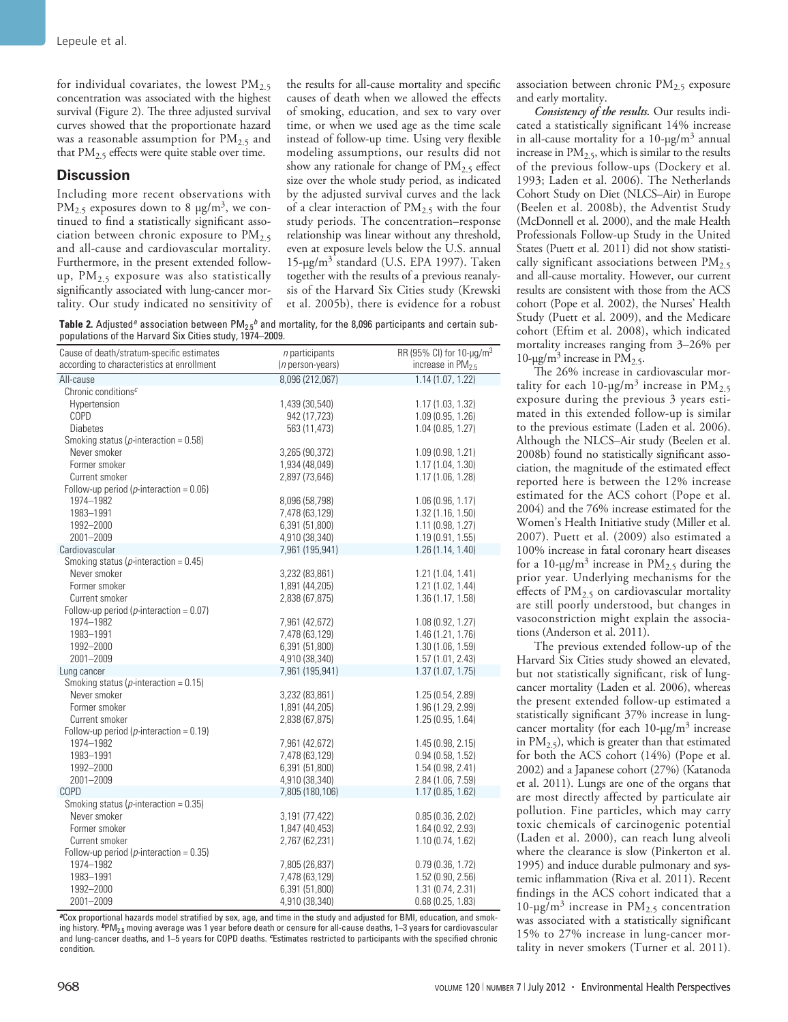for individual covariates, the lowest  $PM_{2.5}$ concentration was associated with the highest survival (Figure 2). The three adjusted survival curves showed that the proportionate hazard was a reasonable assumption for  $PM_{2.5}$  and that PM<sub>2.5</sub> effects were quite stable over time.

## **Discussion**

Including more recent observations with  $PM_{2.5}$  exposures down to 8  $\mu$ g/m<sup>3</sup>, we continued to find a statistically significant association between chronic exposure to  $PM_{2.5}$ and all-cause and cardiovascular mortality. Furthermore, in the present extended followup,  $PM_{2.5}$  exposure was also statistically significantly associated with lung-cancer mortality. Our study indicated no sensitivity of

the results for all-cause mortality and specific causes of death when we allowed the effects of smoking, education, and sex to vary over time, or when we used age as the time scale instead of follow-up time. Using very flexible modeling assumptions, our results did not show any rationale for change of  $PM<sub>2.5</sub>$  effect size over the whole study period, as indicated by the adjusted survival curves and the lack of a clear interaction of  $PM_{2.5}$  with the four study periods. The concentration–response relationship was linear without any threshold, even at exposure levels below the U.S. annual 15-µg/m3 standard (U.S. EPA 1997). Taken together with the results of a previous reanalysis of the Harvard Six Cities study (Krewski et al. 2005b), there is evidence for a robust

**Table 2.** Adjusted<sup>*a*</sup> association between  $PM_{2.5}$ <sup>*b*</sup> and mortality, for the 8,096 participants and certain subpopulations of the Harvard Six Cities study, 1974–2009.

| Cause of death/stratum-specific estimates<br>according to characteristics at enrollment | $n$ participants<br>( <i>n</i> person-years) | RR (95% CI) for 10-µg/m <sup>3</sup><br>increase in PM <sub>2.5</sub> |
|-----------------------------------------------------------------------------------------|----------------------------------------------|-----------------------------------------------------------------------|
| All-cause                                                                               | 8,096 (212,067)                              | 1.14(1.07, 1.22)                                                      |
| Chronic conditions <sup><math>c</math></sup>                                            |                                              |                                                                       |
| Hypertension                                                                            | 1,439 (30,540)                               | 1.17 (1.03, 1.32)                                                     |
| COPD                                                                                    | 942 (17,723)                                 | 1.09(0.95, 1.26)                                                      |
| <b>Diabetes</b>                                                                         | 563 (11,473)                                 | 1.04(0.85, 1.27)                                                      |
| Smoking status ( $p$ -interaction = 0.58)                                               |                                              |                                                                       |
| Never smoker                                                                            | 3,265 (90,372)                               | 1.09(0.98, 1.21)                                                      |
| Former smoker                                                                           | 1,934 (48,049)                               | 1.17(1.04, 1.30)                                                      |
| Current smoker                                                                          | 2,897 (73,646)                               | 1.17(1.06, 1.28)                                                      |
| Follow-up period ( $p$ -interaction = 0.06)                                             |                                              |                                                                       |
| 1974-1982                                                                               | 8,096 (58,798)                               | 1.06(0.96, 1.17)                                                      |
| 1983-1991                                                                               | 7,478 (63,129)                               | 1.32(1.16, 1.50)                                                      |
| 1992-2000                                                                               | 6,391 (51,800)                               | 1.11(0.98, 1.27)                                                      |
| 2001-2009                                                                               | 4,910 (38,340)                               | 1.19(0.91, 1.55)                                                      |
| Cardiovascular                                                                          | 7,961 (195,941)                              | 1.26 (1.14, 1.40)                                                     |
| Smoking status ( $p$ -interaction = 0.45)                                               |                                              |                                                                       |
| Never smoker                                                                            | 3,232 (83,861)                               | 1.21(1.04, 1.41)                                                      |
| Former smoker                                                                           | 1,891 (44,205)                               | 1.21 (1.02, 1.44)                                                     |
| Current smoker                                                                          | 2,838 (67,875)                               | 1.36(1.17, 1.58)                                                      |
| Follow-up period ( $p$ -interaction = 0.07)                                             |                                              |                                                                       |
| 1974-1982                                                                               | 7,961 (42,672)                               | 1.08(0.92, 1.27)                                                      |
| 1983-1991                                                                               | 7,478 (63,129)                               | 1.46 (1.21, 1.76)                                                     |
| 1992-2000                                                                               | 6,391 (51,800)                               | 1.30(1.06, 1.59)                                                      |
| 2001-2009                                                                               | 4,910 (38,340)                               | 1.57 (1.01, 2.43)                                                     |
| Lung cancer                                                                             | 7,961 (195,941)                              | 1.37(1.07, 1.75)                                                      |
| Smoking status ( $p$ -interaction = 0.15)                                               |                                              |                                                                       |
| Never smoker                                                                            | 3,232 (83,861)                               | 1.25 (0.54, 2.89)                                                     |
| Former smoker                                                                           | 1,891 (44,205)                               | 1.96 (1.29, 2.99)                                                     |
| Current smoker                                                                          | 2,838 (67,875)                               | 1.25(0.95, 1.64)                                                      |
| Follow-up period ( $p$ -interaction = 0.19)                                             |                                              |                                                                       |
| 1974-1982                                                                               | 7,961 (42,672)                               | 1.45 (0.98, 2.15)                                                     |
| 1983-1991                                                                               | 7,478 (63,129)                               | 0.94(0.58, 1.52)                                                      |
| 1992-2000                                                                               | 6,391 (51,800)                               | 1.54 (0.98, 2.41)                                                     |
| 2001-2009                                                                               | 4,910 (38,340)                               | 2.84 (1.06, 7.59)                                                     |
| COPD                                                                                    | 7,805 (180,106)                              | 1.17(0.85, 1.62)                                                      |
| Smoking status ( $p$ -interaction = 0.35)                                               |                                              |                                                                       |
| Never smoker                                                                            | 3,191 (77,422)                               | 0.85(0.36, 2.02)                                                      |
| Former smoker                                                                           | 1,847 (40,453)                               | 1.64 (0.92, 2.93)                                                     |
| Current smoker                                                                          | 2,767 (62,231)                               | 1.10(0.74, 1.62)                                                      |
| Follow-up period ( $p$ -interaction = 0.35)                                             |                                              |                                                                       |
| 1974-1982                                                                               | 7,805 (26,837)                               | 0.79(0.36, 1.72)                                                      |
| 1983-1991                                                                               | 7,478 (63,129)                               | 1.52 (0.90, 2.56)                                                     |
| 1992-2000                                                                               | 6,391 (51,800)                               | 1.31(0.74, 2.31)                                                      |
| 2001-2009                                                                               | 4,910 (38,340)                               | 0.68(0.25, 1.83)                                                      |

*<sup>a</sup>*Cox proportional hazards model stratified by sex, age, and time in the study and adjusted for BMI, education, and smoking history. <sup>b</sup>PM<sub>2.5</sub> moving average was 1 year before death or censure for all-cause deaths, 1–3 years for cardiovascular<br>and lung-cancer deaths, and 1–5 years for COPD deaths. Estimates restricted to participants with condition.

association between chronic  $PM<sub>2.5</sub>$  exposure and early mortality.

*Consistency of the results.* Our results indicated a statistically significant 14% increase in all-cause mortality for a  $10$ - $\mu$ g/m<sup>3</sup> annual increase in  $PM_{2.5}$ , which is similar to the results of the previous follow-ups (Dockery et al. 1993; Laden et al. 2006). The Netherlands Cohort Study on Diet (NLCS–Air) in Europe (Beelen et al. 2008b), the Adventist Study (McDonnell et al. 2000), and the male Health Professionals Follow-up Study in the United States (Puett et al. 2011) did not show statistically significant associations between  $PM<sub>2.5</sub>$ and all-cause mortality. However, our current results are consistent with those from the ACS cohort (Pope et al. 2002), the Nurses' Health Study (Puett et al. 2009), and the Medicare cohort (Eftim et al. 2008), which indicated mortality increases ranging from 3–26% per 10- $\mu$ g/m<sup>3</sup> increase in PM<sub>2.5</sub>.

The 26% increase in cardiovascular mortality for each 10- $\mu$ g/m<sup>3</sup> increase in PM<sub>2.5</sub> exposure during the previous 3 years estimated in this extended follow-up is similar to the previous estimate (Laden et al. 2006). Although the NLCS–Air study (Beelen et al. 2008b) found no statistically significant association, the magnitude of the estimated effect reported here is between the 12% increase estimated for the ACS cohort (Pope et al. 2004) and the 76% increase estimated for the Women's Health Initiative study (Miller et al. 2007). Puett et al. (2009) also estimated a 100% increase in fatal coronary heart diseases for a 10-µg/m<sup>3</sup> increase in  $\rm PM_{2.5}$  during the prior year. Underlying mechanisms for the effects of  $PM_{2.5}$  on cardiovascular mortality are still poorly understood, but changes in vasoconstriction might explain the associations (Anderson et al. 2011).

The previous extended follow-up of the Harvard Six Cities study showed an elevated, but not statistically significant, risk of lungcancer mortality (Laden et al. 2006), whereas the present extended follow-up estimated a statistically significant 37% increase in lungcancer mortality (for each  $10$ - $\mu$ g/m<sup>3</sup> increase in  $PM<sub>2.5</sub>$ ), which is greater than that estimated for both the ACS cohort (14%) (Pope et al. 2002) and a Japanese cohort (27%) (Katanoda et al. 2011). Lungs are one of the organs that are most directly affected by particulate air pollution. Fine particles, which may carry toxic chemicals of carcinogenic potential (Laden et al. 2000), can reach lung alveoli where the clearance is slow (Pinkerton et al. 1995) and induce durable pulmonary and systemic inflammation (Riva et al. 2011). Recent findings in the ACS cohort indicated that a 10- $\mu$ g/m<sup>3</sup> increase in PM<sub>2.5</sub> concentration was associated with a statistically significant 15% to 27% increase in lung-cancer mortality in never smokers (Turner et al. 2011).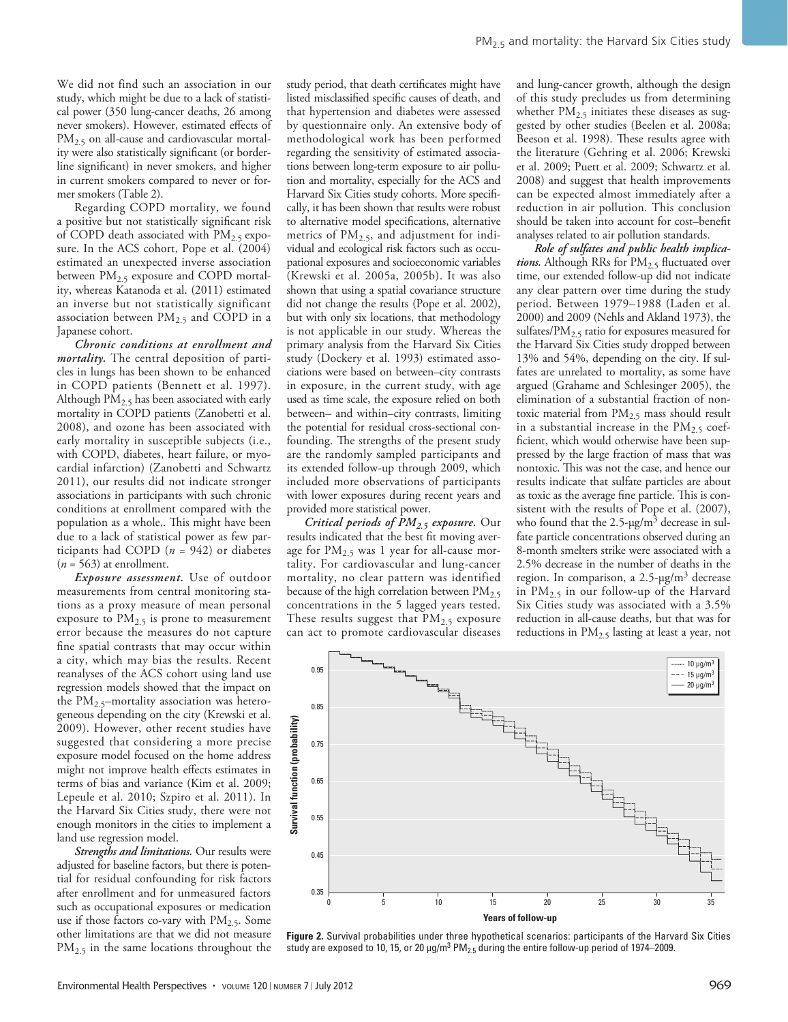We did not find such an association in our study, which might be due to a lack of statistical power (350 lung-cancer deaths, 26 among never smokers). However, estimated effects of PM<sub>2.5</sub> on all-cause and cardiovascular mortality were also statistically significant (or borderline significant) in never smokers, and higher in current smokers compared to never or former smokers (Table 2).

Regarding COPD mortality, we found a positive but not statistically significant risk of COPD death associated with  $PM_{2.5}$  exposure. In the ACS cohort, Pope et al. (2004) estimated an unexpected inverse association between  $PM_{2.5}$  exposure and COPD mortality, whereas Katanoda et al. (2011) estimated an inverse but not statistically significant association between  $PM_{2.5}$  and COPD in a Japanese cohort.

*Chronic conditions at enrollment and mortality.* The central deposition of particles in lungs has been shown to be enhanced in COPD patients (Bennett et al. 1997). Although  $\overline{PM}_{2.5}$  has been associated with early mortality in COPD patients (Zanobetti et al. 2008), and ozone has been associated with early mortality in susceptible subjects (i.e., with COPD, diabetes, heart failure, or myocardial infarction) (Zanobetti and Schwartz 2011), our results did not indicate stronger associations in participants with such chronic conditions at enrollment compared with the population as a whole,. This might have been due to a lack of statistical power as few participants had COPD (*n* = 942) or diabetes (*n* = 563) at enrollment.

*Exposure assessment.* Use of outdoor measurements from central monitoring stations as a proxy measure of mean personal exposure to  $PM_{2.5}$  is prone to measurement error because the measures do not capture fine spatial contrasts that may occur within a city, which may bias the results. Recent reanalyses of the ACS cohort using land use regression models showed that the impact on the  $PM_{2.5}$ -mortality association was heterogeneous depending on the city (Krewski et al. 2009). However, other recent studies have suggested that considering a more precise exposure model focused on the home address might not improve health effects estimates in terms of bias and variance (Kim et al. 2009; Lepeule et al. 2010; Szpiro et al. 2011). In the Harvard Six Cities study, there were not enough monitors in the cities to implement a land use regression model.

*Strengths and limitations.* Our results were adjusted for baseline factors, but there is potential for residual confounding for risk factors after enrollment and for unmeasured factors such as occupational exposures or medication use if those factors co-vary with  $PM_{2.5}$ . Some other limitations are that we did not measure PM<sub>2.5</sub> in the same locations throughout the study period, that death certificates might have listed misclassified specific causes of death, and that hypertension and diabetes were assessed by questionnaire only. An extensive body of methodological work has been performed regarding the sensitivity of estimated associations between long-term exposure to air pollution and mortality, especially for the ACS and Harvard Six Cities study cohorts. More specifically, it has been shown that results were robust to alternative model specifications, alternative metrics of PM<sub>2.5</sub>, and adjustment for individual and ecological risk factors such as occupational exposures and socioeconomic variables (Krewski et al. 2005a, 2005b). It was also shown that using a spatial covariance structure did not change the results (Pope et al. 2002), but with only six locations, that methodology is not applicable in our study. Whereas the primary analysis from the Harvard Six Cities study (Dockery et al. 1993) estimated associations were based on between–city contrasts in exposure, in the current study, with age used as time scale, the exposure relied on both between– and within–city contrasts, limiting the potential for residual cross-sectional confounding. The strengths of the present study are the randomly sampled participants and its extended follow-up through 2009, which included more observations of participants with lower exposures during recent years and provided more statistical power.

*Critical periods of PM2.5 exposure.* Our results indicated that the best fit moving average for  $PM_{2.5}$  was 1 year for all-cause mortality. For cardiovascular and lung-cancer mortality, no clear pattern was identified because of the high correlation between  $PM<sub>2.5</sub>$ concentrations in the 5 lagged years tested. These results suggest that  $PM_{2.5}$  exposure can act to promote cardiovascular diseases and lung-cancer growth, although the design of this study precludes us from determining whether  $PM_{2.5}$  initiates these diseases as suggested by other studies (Beelen et al. 2008a; Beeson et al. 1998). These results agree with the literature (Gehring et al. 2006; Krewski et al. 2009; Puett et al. 2009; Schwartz et al. 2008) and suggest that health improvements can be expected almost immediately after a reduction in air pollution. This conclusion should be taken into account for cost–benefit analyses related to air pollution standards.

*Role of sulfates and public health implica*tions. Although RRs for PM<sub>2.5</sub> fluctuated over time, our extended follow-up did not indicate any clear pattern over time during the study period. Between 1979–1988 (Laden et al. 2000) and 2009 (Nehls and Akland 1973), the sulfates/PM<sub>2.5</sub> ratio for exposures measured for the Harvard Six Cities study dropped between 13% and 54%, depending on the city. If sulfates are unrelated to mortality, as some have argued (Grahame and Schlesinger 2005), the elimination of a substantial fraction of nontoxic material from  $PM<sub>2.5</sub>$  mass should result in a substantial increase in the  $PM_{2.5}$  coefficient, which would otherwise have been suppressed by the large fraction of mass that was nontoxic. This was not the case, and hence our results indicate that sulfate particles are about as toxic as the average fine particle. This is consistent with the results of Pope et al. (2007), who found that the  $2.5$ - $\mu$ g/m<sup>3</sup> decrease in sulfate particle concentrations observed during an 8-month smelters strike were associated with a 2.5% decrease in the number of deaths in the region. In comparison, a  $2.5$ - $\mu$ g/m<sup>3</sup> decrease in  $PM_{2.5}$  in our follow-up of the Harvard Six Cities study was associated with a 3.5% reduction in all-cause deaths, but that was for reductions in PM<sub>2.5</sub> lasting at least a year, not



**Figure 2.** Survival probabilities under three hypothetical scenarios: participants of the Harvard Six Cities study are exposed to 10, 15, or 20  $\mu$ g/m $^3$  PM $_{2.5}$  during the entire follow-up period of 1974–2009.